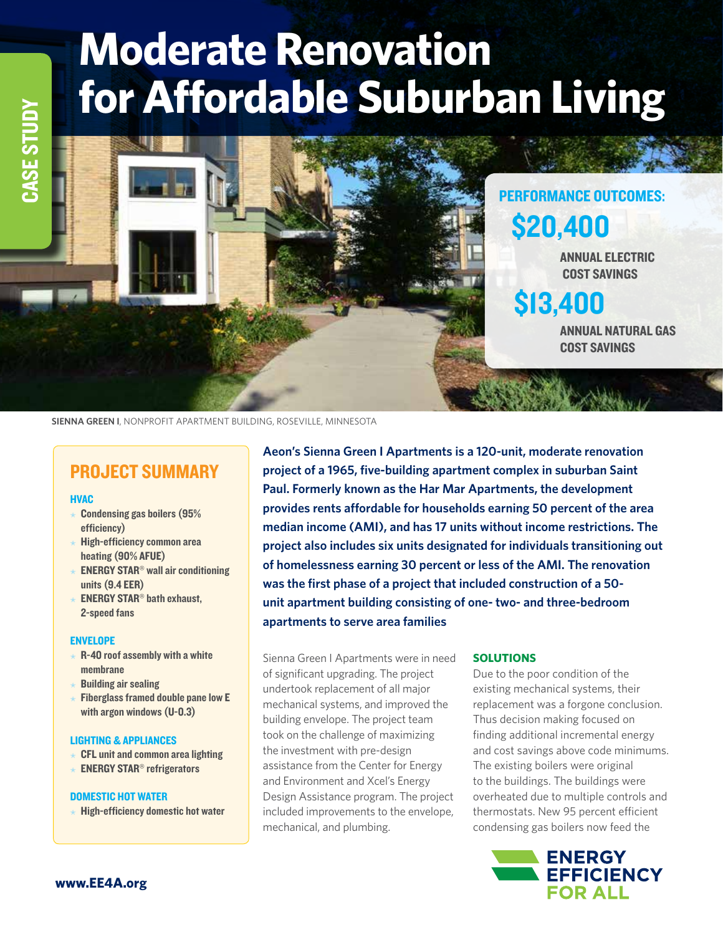# **Moderate Renovation for Affordable Suburban Living**



PERFORMANCE OUTCOMES: \$20,400 ANNUAL ELECTRIC COST SAVINGS

\$13,400

ANNUAL NATURAL GAS COST SAVINGS

**SIENNA GREEN I**, NONPROFIT APARTMENT BUILDING, ROSEVILLE, MINNESOTA

# PROJECT SUMMARY

#### **HVAC**

- $\star$  Condensing gas boilers (95%) efficiency)
- $\star$  High-efficiency common area heating (90% AFUE)
- **ENERGY STAR<sup>®</sup> wall air conditioning** units (9.4 EER)
- **ENERGY STAR<sup>®</sup> bath exhaust,** 2-speed fans

#### ENVELOPE

- $\star$  R-40 roof assembly with a white membrane
- $\star$  Building air sealing
- Fiberglass framed double pane low E with argon windows (U-0.3)

#### LIGHTING & APPLIANCES

- $\star$  CFL unit and common area lighting
- $\star$  ENERGY STAR<sup>®</sup> refrigerators

#### DOMESTIC HOT WATER

 $\star$  High-efficiency domestic hot water

**Aeon's Sienna Green I Apartments is a 120-unit, moderate renovation project of a 1965, five-building apartment complex in suburban Saint Paul. Formerly known as the Har Mar Apartments, the development provides rents affordable for households earning 50 percent of the area median income (AMI), and has 17 units without income restrictions. The project also includes six units designated for individuals transitioning out of homelessness earning 30 percent or less of the AMI. The renovation was the first phase of a project that included construction of a 50 unit apartment building consisting of one- two- and three-bedroom apartments to serve area families**

Sienna Green I Apartments were in need of significant upgrading. The project undertook replacement of all major mechanical systems, and improved the building envelope. The project team took on the challenge of maximizing the investment with pre-design assistance from the Center for Energy and Environment and Xcel's Energy Design Assistance program. The project included improvements to the envelope, mechanical, and plumbing.

#### **SOLUTIONS**

Due to the poor condition of the existing mechanical systems, their replacement was a forgone conclusion. Thus decision making focused on finding additional incremental energy and cost savings above code minimums. The existing boilers were original to the buildings. The buildings were overheated due to multiple controls and thermostats. New 95 percent efficient condensing gas boilers now feed the